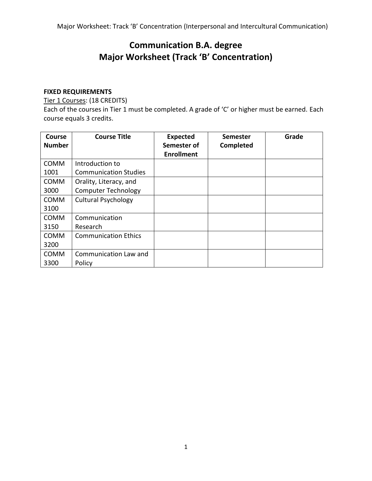# **Communication B.A. degree Major Worksheet (Track 'B' Concentration)**

## **FIXED REQUIREMENTS**

Tier 1 Courses: (18 CREDITS)

Each of the courses in Tier 1 must be completed. A grade of 'C' or higher must be earned. Each course equals 3 credits.

| <b>Course</b><br><b>Number</b> | <b>Course Title</b>          | <b>Expected</b><br>Semester of<br><b>Enrollment</b> | Semester<br>Completed | Grade |
|--------------------------------|------------------------------|-----------------------------------------------------|-----------------------|-------|
| <b>COMM</b>                    | Introduction to              |                                                     |                       |       |
| 1001                           | <b>Communication Studies</b> |                                                     |                       |       |
| <b>COMM</b>                    | Orality, Literacy, and       |                                                     |                       |       |
| 3000                           | <b>Computer Technology</b>   |                                                     |                       |       |
| <b>COMM</b>                    | <b>Cultural Psychology</b>   |                                                     |                       |       |
| 3100                           |                              |                                                     |                       |       |
| <b>COMM</b>                    | Communication                |                                                     |                       |       |
| 3150                           | Research                     |                                                     |                       |       |
| <b>COMM</b>                    | <b>Communication Ethics</b>  |                                                     |                       |       |
| 3200                           |                              |                                                     |                       |       |
| COMM                           | Communication Law and        |                                                     |                       |       |
| 3300                           | Policy                       |                                                     |                       |       |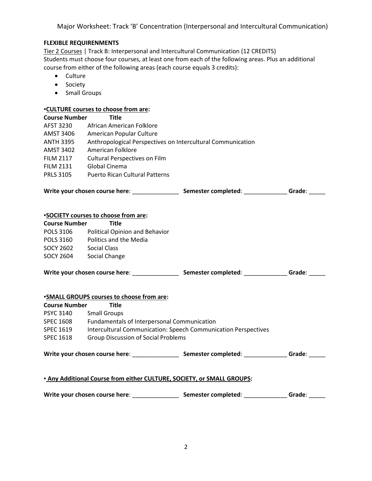Major Worksheet: Track 'B' Concentration (Interpersonal and Intercultural Communication)

### **FLEXIBLE REQUIRENMENTS**

Tier 2 Courses | Track B: Interpersonal and Intercultural Communication (12 CREDITS) Students must choose four courses, at least one from each of the following areas. Plus an additional course from either of the following areas (each course equals 3 credits):

- Culture
- Society
- Small Groups

#### **▪CULTURE courses to choose from are:**

| <b>Course Number</b>                                                                                     | .<br><b>Title</b>                                                      |                                                                                                                      |             |  |  |
|----------------------------------------------------------------------------------------------------------|------------------------------------------------------------------------|----------------------------------------------------------------------------------------------------------------------|-------------|--|--|
| AFST 3230                                                                                                | African American Folklore                                              |                                                                                                                      |             |  |  |
| <b>AMST 3406</b>                                                                                         | American Popular Culture                                               |                                                                                                                      |             |  |  |
| <b>ANTH 3395</b>                                                                                         | Anthropological Perspectives on Intercultural Communication            |                                                                                                                      |             |  |  |
| AMST 3402                                                                                                | American Folklore                                                      |                                                                                                                      |             |  |  |
| <b>FILM 2117</b>                                                                                         | Cultural Perspectives on Film                                          |                                                                                                                      |             |  |  |
| <b>FILM 2131</b>                                                                                         | Global Cinema                                                          |                                                                                                                      |             |  |  |
| <b>PRLS 3105</b>                                                                                         | <b>Puerto Rican Cultural Patterns</b>                                  |                                                                                                                      |             |  |  |
|                                                                                                          |                                                                        | Write your chosen course here: ________________________________Semester completed: _________________Grade: _________ |             |  |  |
|                                                                                                          | <b>*SOCIETY</b> courses to choose from are:                            |                                                                                                                      |             |  |  |
| <b>Course Number</b>                                                                                     | <b>Title</b>                                                           |                                                                                                                      |             |  |  |
|                                                                                                          | POLS 3106 Political Opinion and Behavior                               |                                                                                                                      |             |  |  |
|                                                                                                          | POLS 3160 Politics and the Media                                       |                                                                                                                      |             |  |  |
|                                                                                                          | SOCY 2602 Social Class                                                 |                                                                                                                      |             |  |  |
|                                                                                                          | SOCY 2604 Social Change                                                |                                                                                                                      |             |  |  |
|                                                                                                          |                                                                        | Write your chosen course here: _________________________Semester completed: _______________Grade: _______            |             |  |  |
|                                                                                                          | <b>.SMALL GROUPS courses to choose from are:</b>                       |                                                                                                                      |             |  |  |
| <b>Course Number</b>                                                                                     | <b>Title</b>                                                           |                                                                                                                      |             |  |  |
| <b>PSYC 3140</b>                                                                                         | <b>Small Groups</b>                                                    |                                                                                                                      |             |  |  |
| <b>SPEC 1608</b>                                                                                         | Fundamentals of Interpersonal Communication                            |                                                                                                                      |             |  |  |
| <b>SPEC 1619</b>                                                                                         | Intercultural Communication: Speech Communication Perspectives         |                                                                                                                      |             |  |  |
| <b>SPEC 1618</b>                                                                                         | <b>Group Discussion of Social Problems</b>                             |                                                                                                                      |             |  |  |
| Write your chosen course here: ________________________Semester completed: _______________Grade: _______ |                                                                        |                                                                                                                      |             |  |  |
|                                                                                                          | . Any Additional Course from either CULTURE, SOCIETY, or SMALL GROUPS: |                                                                                                                      |             |  |  |
|                                                                                                          |                                                                        |                                                                                                                      | Grade: ____ |  |  |